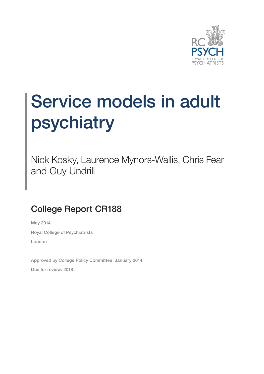

## Service models in adult psychiatry

Nick Kosky, Laurence Mynors-Wallis, Chris Fear and Guy Undrill

#### College Report CR188

May 2014 Royal College of Psychiatrists London

Approved by College Policy Committee: January 2014 Due for review: 2018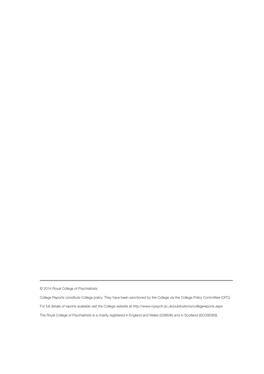© 2014 Royal College of Psychiatrists

College Reports constitute College policy. They have been sanctioned by the College via the College Policy Committee (CPC). For full details of reports available visit the College website at http://www.rcpsych.ac.uk/publications/collegereports.aspx The Royal College of Psychiatrists is a charity registered in England and Wales (228636) and in Scotland (SC038369).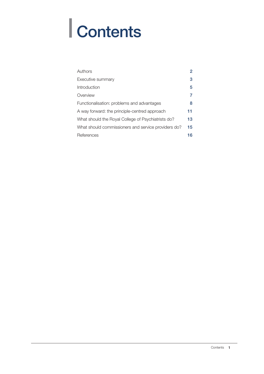# | Contents

| Authors                                             | 2  |
|-----------------------------------------------------|----|
| Executive summary                                   | 3  |
| Introduction                                        | 5  |
| Overview                                            |    |
| Functionalisation: problems and advantages          | 8  |
| A way forward: the principle-centred approach       | 11 |
| What should the Royal College of Psychiatrists do?  | 13 |
| What should commissioners and service providers do? | 15 |
| References                                          | 16 |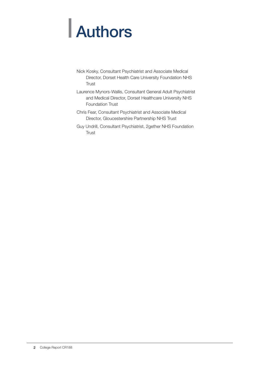# | Authors

- Nick Kosky, Consultant Psychiatrist and Associate Medical Director, Dorset Health Care University Foundation NHS **Trust**
- Laurence Mynors-Wallis, Consultant General Adult Psychiatrist and Medical Director, Dorset Healthcare University NHS Foundation Trust
- Chris Fear, Consultant Psychiatrist and Associate Medical Director, Gloucestershire Partnership NHS Trust
- Guy Undrill, Consultant Psychiatrist, 2gether NHS Foundation **Trust**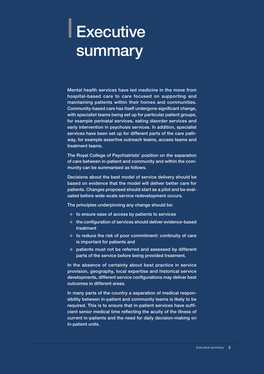### | Executive **summary**

Mental health services have led medicine in the move from hospital-based care to care focused on supporting and maintaining patients within their homes and communities. Community-based care has itself undergone significant change, with specialist teams being set up for particular patient groups, for example perinatal services, eating disorder services and early intervention in psychosis services. In addition, specialist services have been set up for different parts of the care pathway, for example assertive outreach teams, access teams and treatment teams.

The Royal College of Psychiatrists' position on the separation of care between in-patient and community and within the community can be summarised as follows.

Decisions about the best model of service delivery should be based on evidence that the model will deliver better care for patients. Changes proposed should start as a pilot and be evaluated before wide-scale service redevelopment occurs.

The principles underpinning any change should be:

- $\bullet$  to ensure ease of access by patients to services
- $\bullet$  the configuration of services should deliver evidence-based treatment
- $\bullet$  to reduce the risk of poor commitment: continuity of care is important for patients and
- patients must not be referred and assessed by different parts of the service before being provided treatment.

In the absence of certainty about best practice in service provision, geography, local expertise and historical service developments, different service configurations may deliver best outcomes in different areas.

In many parts of the country a separation of medical responsibility between in-patient and community teams is likely to be required. This is to ensure that in-patient services have sufficient senior medical time reflecting the acuity of the illness of current in-patients and the need for daily decision-making on in-patient units.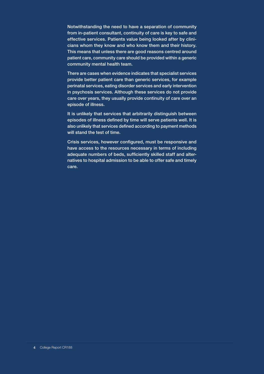Notwithstanding the need to have a separation of community from in-patient consultant, continuity of care is key to safe and effective services. Patients value being looked after by clinicians whom they know and who know them and their history. This means that unless there are good reasons centred around patient care, community care should be provided within a generic community mental health team.

There are cases when evidence indicates that specialist services provide better patient care than generic services, for example perinatal services, eating disorder services and early intervention in psychosis services. Although these services do not provide care over years, they usually provide continuity of care over an episode of illness.

It is unlikely that services that arbitrarily distinguish between episodes of illness defined by time will serve patients well. It is also unlikely that services defined according to payment methods will stand the test of time.

Crisis services, however configured, must be responsive and have access to the resources necessary in terms of including adequate numbers of beds, sufficiently skilled staff and alternatives to hospital admission to be able to offer safe and timely care.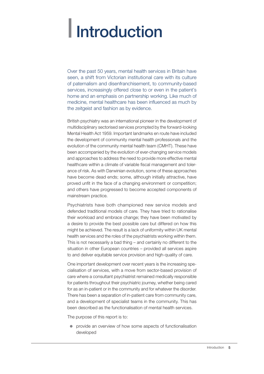### | Introduction

Over the past 50 years, mental health services in Britain have seen, a shift from Victorian institutional care with its culture of paternalism and disenfranchisement, to community-based services, increasingly offered close to or even in the patient's home and an emphasis on partnership working. Like much of medicine, mental healthcare has been influenced as much by the zeitgeist and fashion as by evidence.

British psychiatry was an international pioneer in the development of multidisciplinary sectorised services prompted by the forward-looking Mental Health Act 1959. Important landmarks en route have included the development of community mental health professionals and the evolution of the community mental health team (CMHT). These have been accompanied by the evolution of ever-changing service models and approaches to address the need to provide more effective mental healthcare within a climate of variable fiscal management and tolerance of risk. As with Darwinian evolution, some of these approaches have become dead ends; some, although initially attractive, have proved unfit in the face of a changing environment or competition; and others have progressed to become accepted components of mainstream practice.

Psychiatrists have both championed new service models and defended traditional models of care. They have tried to rationalise their workload and embrace change; they have been motivated by a desire to provide the best possible care but differed on how this might be achieved. The result is a lack of uniformity within UK mental health services and the roles of the psychiatrists working within them. This is not necessarily a bad thing – and certainly no different to the situation in other European countries – provided all services aspire to and deliver equitable service provision and high-quality of care.

One important development over recent years is the increasing specialisation of services, with a move from sector-based provision of care where a consultant psychiatrist remained medically responsible for patients throughout their psychiatric journey, whether being cared for as an in-patient or in the community and for whatever the disorder. There has been a separation of in-patient care from community care, and a development of specialist teams in the community. This has been described as the functionalisation of mental health services.

The purpose of this report is to:

• provide an overview of how some aspects of functionalisation developed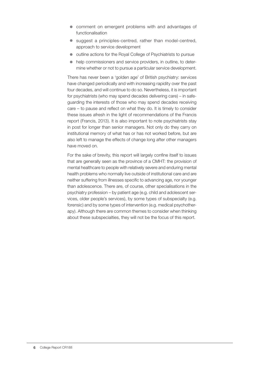- comment on emergent problems with and advantages of functionalisation
- suggest a principles-centred, rather than model-centred, approach to service development
- outline actions for the Royal College of Psychiatrists to pursue
- help commissioners and service providers, in outline, to determine whether or not to pursue a particular service development.

There has never been a 'golden age' of British psychiatry: services have changed periodically and with increasing rapidity over the past four decades, and will continue to do so. Nevertheless, it is important for psychiatrists (who may spend decades delivering care) – in safeguarding the interests of those who may spend decades receiving care – to pause and reflect on what they do. It is timely to consider these issues afresh in the light of recommendations of the Francis report (Francis, 2013). It is also important to note psychiatrists stay in post for longer than senior managers. Not only do they carry on institutional memory of what has or has not worked before, but are also left to manage the effects of change long after other managers have moved on.

For the sake of brevity, this report will largely confine itself to issues that are generally seen as the province of a CMHT: the provision of mental healthcare to people with relatively severe and enduring mental health problems who normally live outside of institutional care and are neither suffering from illnesses specific to advancing age, nor younger than adolescence. There are, of course, other specialisations in the psychiatry profession – by patient age (e.g. child and adolescent services, older people's services), by some types of subspecialty (e.g. forensic) and by some types of intervention (e.g. medical psychotherapy). Although there are common themes to consider when thinking about these subspecialties, they will not be the focus of this report.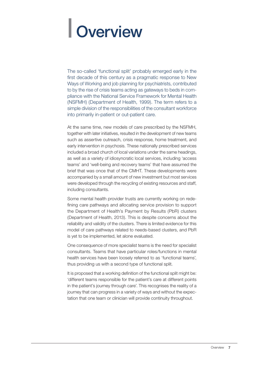### | Overview

The so-called 'functional split' probably emerged early in the first decade of this century as a pragmatic response to New Ways of Working and job planning for psychiatrists, contributed to by the rise of crisis teams acting as gateways to beds in compliance with the National Service Framework for Mental Health (NSFMH) (Department of Health, 1999). The term refers to a simple division of the responsibilities of the consultant workforce into primarily in-patient or out-patient care.

At the same time, new models of care prescribed by the NSFMH, together with later initiatives, resulted in the development of new teams such as assertive outreach, crisis response, home treatment, and early intervention in psychosis. These nationally prescribed services included a broad church of local variations under the same headings, as well as a variety of idiosyncratic local services, including 'access teams' and 'well-being and recovery teams' that have assumed the brief that was once that of the CMHT. These developments were accompanied by a small amount of new investment but most services were developed through the recycling of existing resources and staff, including consultants.

Some mental health provider trusts are currently working on redefining care pathways and allocating service provision to support the Department of Health's Payment by Results (PbR) clusters (Department of Health, 2013). This is despite concerns about the reliability and validity of the clusters. There is limited evidence for this model of care pathways related to needs-based clusters, and PbR is yet to be implemented, let alone evaluated.

One consequence of more specialist teams is the need for specialist consultants. Teams that have particular roles/functions in mental health services have been loosely referred to as 'functional teams', thus providing us with a second type of functional split.

It is proposed that a working definition of the functional split might be: 'different teams responsible for the patient's care at different points in the patient's journey through care'. This recognises the reality of a journey that can progress in a variety of ways and without the expectation that one team or clinician will provide continuity throughout.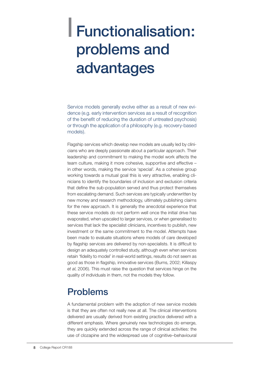### | Functionalisation: problems and advantages

Service models generally evolve either as a result of new evidence (e.g. early intervention services as a result of recognition of the benefit of reducing the duration of untreated psychosis) or through the application of a philosophy (e.g. recovery-based models).

Flagship services which develop new models are usually led by clinicians who are deeply passionate about a particular approach. Their leadership and commitment to making the model work affects the team culture, making it more cohesive, supportive and effective – in other words, making the service 'special'. As a cohesive group working towards a mutual goal this is very attractive, enabling clinicians to identify the boundaries of inclusion and exclusion criteria that define the sub-population served and thus protect themselves from escalating demand. Such services are typically underwritten by new money and research methodology, ultimately publishing claims for the new approach. It is generally the anecdotal experience that these service models do not perform well once the initial drive has evaporated, when upscaled to larger services, or when generalised to services that lack the specialist clinicians, incentives to publish, new investment or the same commitment to the model. Attempts have been made to evaluate situations where models of care developed by flagship services are delivered by non-specialists. It is difficult to design an adequately controlled study, although even when services retain 'fidelity to model' in real-world settings, results do not seem as good as those in flagship, innovative services (Burns, 2002; Killaspy *et al*, 2006). This must raise the question that services hinge on the quality of individuals in them, not the models they follow.

#### Problems

A fundamental problem with the adoption of new service models is that they are often not really new at all. The clinical interventions delivered are usually derived from existing practice delivered with a different emphasis. Where genuinely new technologies do emerge, they are quickly extended across the range of clinical activities: the use of clozapine and the widespread use of cognitive–behavioural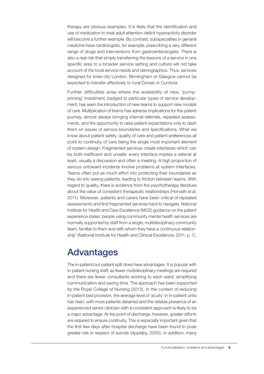therapy are obvious examples. It is likely that the identification and use of medication to treat adult attention-deficit hyperactivity disorder will become a further example. By contrast, subspecialties in general medicine have cardiologists, for example, prescribing a very different range of drugs and interventions from gastroenterologists. There is also a real risk that simply transferring the lessons of a service in one specific area to a broader service setting and culture will not take account of the local service needs and demographics. Thus, services designed for inner-city London, Birmingham or Glasgow cannot be expected to transfer effectively to rural Dorset or Cumbria.

Further difficulties arise where the availability of new, 'pumppriming' investment, badged to particular types of service development, has seen the introduction of new teams to support new models of care. Multiplication of teams has adverse implications for the patient journey, almost always bringing internal referrals, repeated assessments, and the opportunity to raise patient expectations only to dash them on issues of service boundaries and specifications. What we know about patient safety, quality of care and patient preferences all point to continuity of care being the single most important element of system design. Fragmented services create interfaces which can be both inefficient and unsafe: every interface implies a referral at least, usually a discussion and often a meeting. A high proportion of serious untoward incidents involve problems at system interfaces. Teams often put as much effort into protecting their boundaries as they do into seeing patients, leading to friction between teams. With regard to quality, there is evidence from the psychotherapy literature about the value of consistent therapeutic relationships (Horvath *et al*, 2011). Moreover, patients and carers have been critical of repeated assessments and find fragmented services hard to navigate. National Institute for Health and Care Excellence (NICE) guidance on the patient experience states 'people using community mental health services are normally supported by staff from a single, multidisciplinary community team, familiar to them and with whom they have a continuous relationship' (National Institute for Health and Clinical Excellence, 2011: p. 7).

#### Advantages

The in-patient/out-patient split does have advantages. It is popular with in-patient nursing staff, as fewer multidisciplinary meetings are required and there are fewer consultants working to each ward, simplifying communication and saving time. The approach has been supported by the Royal College of Nursing (2013). In the context of reducing in-patient bed provision, the average level of 'acuity' in in-patient units has risen, with more patients detained and the reliable presence of an experienced senior clinician with a consistent approach is likely to be a major advantage. At the point of discharge, however, greater efforts are required to ensure continuity. This is especially important given that the first few days after hospital discharge have been found to pose greater risk in respect of suicide (Appleby, 2000). In addition, many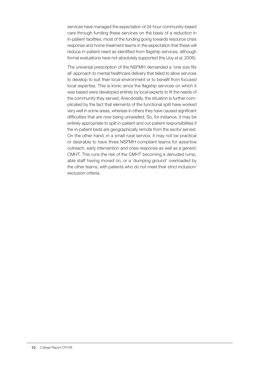services have managed the expectation of 24-hour community-based care through funding these services on the basis of a reduction in in-patient facilities, most of the funding going towards resource crisis response and home treatment teams in the expectation that these will reduce in-patient need as identified from flagship services, although formal evaluations have not absolutely supported this (Joy *et al*, 2006).

The universal prescription of the NSFMH demanded a 'one size fits all' approach to mental healthcare delivery that failed to allow services to develop to suit their local environment or to benefit from focused local expertise. This is ironic since the flagship services on which it was based were developed entirely by local experts to fit the needs of the community they served. Anecdotally, the situation is further complicated by the fact that elements of the functional split have worked very well in some areas, whereas in others they have caused significant difficulties that are now being unravelled. So, for instance, it may be entirely appropriate to split in-patient and out-patient responsibilities if the in-patient beds are geographically remote from the sector served. On the other hand, in a small rural service, it may not be practical or desirable to have three NSFMH compliant teams for assertive outreach, early intervention and crisis response as well as a generic CMHT. This runs the risk of the CMHT becoming a denuded rump, able staff having moved on, or a 'dumping ground' overloaded by the other teams, with patients who do not meet their strict inclusion/ exclusion criteria.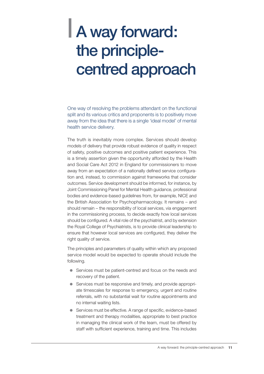### | A way forward: the principlecentred approach

One way of resolving the problems attendant on the functional split and its various critics and proponents is to positively move away from the idea that there is a single 'ideal model' of mental health service delivery.

The truth is inevitably more complex. Services should develop models of delivery that provide robust evidence of quality in respect of safety, positive outcomes and positive patient experience. This is a timely assertion given the opportunity afforded by the Health and Social Care Act 2012 in England for commissioners to move away from an expectation of a nationally defined service configuration and, instead, to commission against frameworks that consider outcomes. Service development should be informed, for instance, by Joint Commissioning Panel for Mental Health guidance, professional bodies and evidence-based guidelines from, for example, NICE and the British Association for Psychopharmacology. It remains – and should remain – the responsibility of local services, via engagement in the commissioning process, to decide exactly how local services should be configured. A vital role of the psychiatrist, and by extension the Royal College of Psychiatrists, is to provide clinical leadership to ensure that however local services are configured, they deliver the right quality of service.

The principles and parameters of quality within which any proposed service model would be expected to operate should include the following.

- Services must be patient-centred and focus on the needs and recovery of the patient.
- Services must be responsive and timely, and provide appropriate timescales for response to emergency, urgent and routine referrals, with no substantial wait for routine appointments and no internal waiting lists.
- Services must be effective. A range of specific, evidence-based treatment and therapy modalities, appropriate to best practice in managing the clinical work of the team, must be offered by staff with sufficient experience, training and time. This includes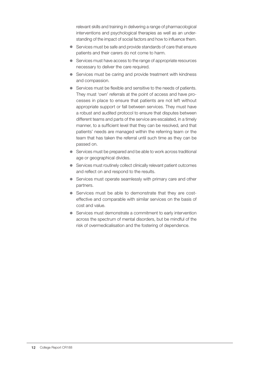relevant skills and training in delivering a range of pharmacological interventions and psychological therapies as well as an understanding of the impact of social factors and how to influence them.

- Services must be safe and provide standards of care that ensure patients and their carers do not come to harm.
- Services must have access to the range of appropriate resources necessary to deliver the care required.
- Services must be caring and provide treatment with kindness and compassion.
- $\bullet$  Services must be flexible and sensitive to the needs of patients. They must 'own' referrals at the point of access and have processes in place to ensure that patients are not left without appropriate support or fall between services. They must have a robust and audited protocol to ensure that disputes between different teams and parts of the service are escalated, in a timely manner, to a sufficient level that they can be resolved, and that patients' needs are managed within the referring team or the team that has taken the referral until such time as they can be passed on.
- $\bullet$  Services must be prepared and be able to work across traditional age or geographical divides.
- Services must routinely collect clinically relevant patient outcomes and reflect on and respond to the results.
- Services must operate seamlessly with primary care and other partners.
- Services must be able to demonstrate that they are costeffective and comparable with similar services on the basis of cost and value.
- Services must demonstrate a commitment to early intervention across the spectrum of mental disorders, but be mindful of the risk of overmedicalisation and the fostering of dependence.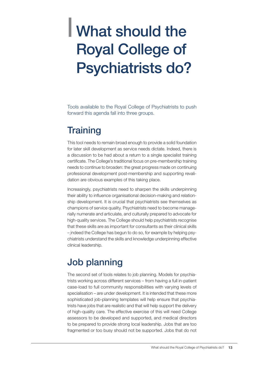### | What should the Royal College of Psychiatrists do?

Tools available to the Royal College of Psychiatrists to push forward this agenda fall into three groups.

#### **Training**

This tool needs to remain broad enough to provide a solid foundation for later skill development as service needs dictate. Indeed, there is a discussion to be had about a return to a single specialist training certificate. The College's traditional focus on pre-membership training needs to continue to broaden: the great progress made on continuing professional development post-membership and supporting revalidation are obvious examples of this taking place.

Increasingly, psychiatrists need to sharpen the skills underpinning their ability to influence organisational decision-making and relationship development. It is crucial that psychiatrists see themselves as champions of service quality. Psychiatrists need to become managerially numerate and articulate, and culturally prepared to advocate for high-quality services. The College should help psychiatrists recognise that these skills are as important for consultants as their clinical skills – indeed the College has begun to do so, for example by helping psychiatrists understand the skills and knowledge underpinning effective clinical leadership.

#### Job planning

The second set of tools relates to job planning. Models for psychiatrists working across different services – from having a full in-patient case-load to full community responsibilities with varying levels of specialisation – are under development. It is intended that these more sophisticated job-planning templates will help ensure that psychiatrists have jobs that are realistic and that will help support the delivery of high-quality care. The effective exercise of this will need College assessors to be developed and supported, and medical directors to be prepared to provide strong local leadership. Jobs that are too fragmented or too busy should not be supported. Jobs that do not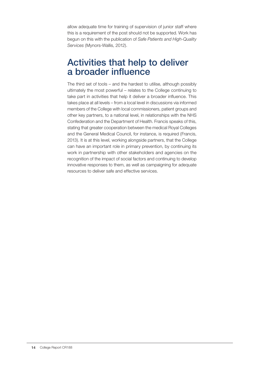allow adequate time for training of supervision of junior staff where this is a requirement of the post should not be supported. Work has begun on this with the publication of *Safe Patients and High-Quality Services* (Mynors-Wallis, 2012).

#### Activities that help to deliver a broader influence

The third set of tools – and the hardest to utilise, although possibly ultimately the most powerful – relates to the College continuing to take part in activities that help it deliver a broader influence. This takes place at all levels – from a local level in discussions via informed members of the College with local commissioners, patient groups and other key partners, to a national level, in relationships with the NHS Confederation and the Department of Health. Francis speaks of this, stating that greater cooperation between the medical Royal Colleges and the General Medical Council, for instance, is required (Francis, 2013). It is at this level, working alongside partners, that the College can have an important role in primary prevention, by continuing its work in partnership with other stakeholders and agencies on the recognition of the impact of social factors and continuing to develop innovative responses to them, as well as campaigning for adequate resources to deliver safe and effective services.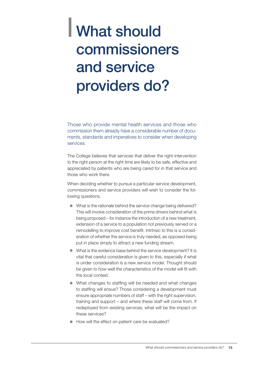### | What should commissioners and service providers do?

Those who provide mental health services and those who commission them already have a considerable number of documents, standards and imperatives to consider when developing services.

The College believes that services that deliver the right intervention to the right person at the right time are likely to be safe, effective and appreciated by patients who are being cared for in that service and those who work there.

When deciding whether to pursue a particular service development, commissioners and service providers will wish to consider the following questions.

- $\bullet$  What is the rationale behind the service change being delivered? This will involve consideration of the prime drivers behind what is being proposed – for instance the introduction of a new treatment, extension of a service to a population not previously served or a remodelling to improve cost benefit. Intrinsic to this is a consideration of whether the service is truly needed, as opposed being put in place simply to attract a new funding stream.
- $\bullet$  What is the evidence base behind the service development? It is vital that careful consideration is given to this, especially if what is under consideration is a new service model. Thought should be given to how well the characteristics of the model will fit with the local context.
- $\bullet$  What changes to staffing will be needed and what changes to staffing will ensue? Those considering a development must ensure appropriate numbers of staff – with the right supervision, training and support – and where these staff will come from. If redeployed from existing services, what will be the impact on these services?
- How will the effect on patient care be evaluated?